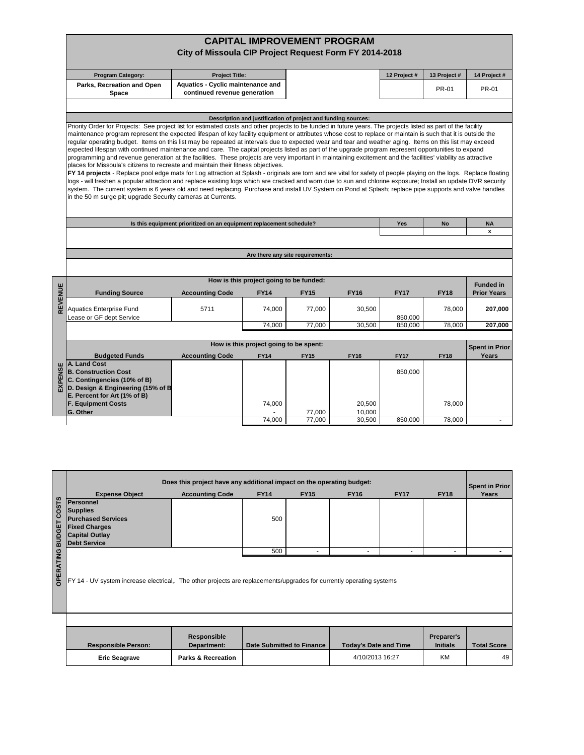## **CAPITAL IMPROVEMENT PROGRAM City of Missoula CIP Project Request Form FY 2014-2018**

| <b>Program Category:</b>            | <b>Project Title:</b>                                                    | 12 Project # | 13 Project # | 14 Project # |
|-------------------------------------|--------------------------------------------------------------------------|--------------|--------------|--------------|
| Parks, Recreation and Open<br>Space | <b>Aquatics - Cyclic maintenance and</b><br>continued revenue generation |              | PR-01        | PR-01        |

## **Description and justification of project and funding sources:**

Priority Order for Projects: See project list for estimated costs and other projects to be funded in future years. The projects listed as part of the facility maintenance program represent the expected lifespan of key facility equipment or attributes whose cost to replace or maintain is such that it is outside the regular operating budget. Items on this list may be repeated at intervals due to expected wear and tear and weather aging. Items on this list may exceed expected lifespan with continued maintenance and care. The capital projects listed as part of the upgrade program represent opportunities to expand programming and revenue generation at the facilities. These projects are very important in maintaining excitement and the facilities' viability as attractive places for Missoula's citizens to recreate and maintain their fitness objectives.

**FY 14 projects** - Replace pool edge mats for Log attraction at Splash - originals are torn and are vital for safety of people playing on the logs. Replace floating logs - will freshen a popular attraction and replace existing logs which are cracked and worn due to sun and chlorine exposure; Install an update DVR security system. The current system is 6 years old and need replacing. Purchase and install UV System on Pond at Splash; replace pipe supports and valve handles in the 50 m surge pit; upgrade Security cameras at Currents.

| Is this equipment prioritized on an equipment replacement schedule? | Yes |  |
|---------------------------------------------------------------------|-----|--|
|                                                                     |     |  |
|                                                                     |     |  |

## **Are there any site requirements:**

**Yes No NA x**

| Б | How is this project going to be funded:<br><b>Funded in</b> |                        |             |             |             |             |             |                    |  |  |  |  |  |
|---|-------------------------------------------------------------|------------------------|-------------|-------------|-------------|-------------|-------------|--------------------|--|--|--|--|--|
|   | <b>Funding Source</b>                                       | <b>Accounting Code</b> | <b>FY14</b> | <b>FY15</b> | <b>FY16</b> | <b>FY17</b> | <b>FY18</b> | <b>Prior Years</b> |  |  |  |  |  |
|   |                                                             |                        |             |             |             |             |             |                    |  |  |  |  |  |
|   | <b>Aquatics Enterprise Fund</b>                             | 5711                   | 74.000      | 77.000      | 30,500      |             | 78.000      | 207.000            |  |  |  |  |  |
|   | Lease or GF dept Service                                    |                        |             |             |             | 850.000     |             |                    |  |  |  |  |  |
|   |                                                             |                        | 74,000      | 77,000      | 30,500      | 850.000     | 78,000      | 207.000            |  |  |  |  |  |

| How is this project going to be spent:                    |                        |             |             |             |             |             |       |  |  |  |  |  |  |
|-----------------------------------------------------------|------------------------|-------------|-------------|-------------|-------------|-------------|-------|--|--|--|--|--|--|
| <b>Budgeted Funds</b>                                     | <b>Accounting Code</b> | <b>FY14</b> | <b>FY15</b> | <b>FY16</b> | <b>FY17</b> | <b>FY18</b> | Years |  |  |  |  |  |  |
| ш   A. Land Cost                                          |                        |             |             |             |             |             |       |  |  |  |  |  |  |
| $\frac{1}{2}$ B. Construction Cost                        |                        |             |             |             | 850.000     |             |       |  |  |  |  |  |  |
| $\frac{\overline{W}}{L}$ C. Contingencies (10% of B)      |                        |             |             |             |             |             |       |  |  |  |  |  |  |
| $\overline{\mathbf{a}}$ D. Design & Engineering (15% of B |                        |             |             |             |             |             |       |  |  |  |  |  |  |
| E. Percent for Art (1% of B)                              |                        |             |             |             |             |             |       |  |  |  |  |  |  |
| <b>F. Equipment Costs</b>                                 |                        | 74.000      |             | 20,500      |             | 78.000      |       |  |  |  |  |  |  |
| <b>G. Other</b>                                           |                        |             | 77.000      | 10.000      |             |             |       |  |  |  |  |  |  |
|                                                           |                        | 74,000      | 77.000      | 30.500      | 850,000     | 78.000      |       |  |  |  |  |  |  |

|                        |                                                                                                                                   | Does this project have any additional impact on the operating budget: |             |                                  |                              |             |                               | <b>Spent in Prior</b> |
|------------------------|-----------------------------------------------------------------------------------------------------------------------------------|-----------------------------------------------------------------------|-------------|----------------------------------|------------------------------|-------------|-------------------------------|-----------------------|
|                        | <b>Expense Object</b>                                                                                                             | <b>Accounting Code</b>                                                | <b>FY14</b> | <b>FY15</b>                      | <b>FY16</b>                  | <b>FY17</b> | <b>FY18</b>                   | Years                 |
| COSTS<br><b>BUDGET</b> | Personnel<br><b>Supplies</b><br><b>Purchased Services</b><br><b>Fixed Charges</b><br><b>Capital Outlay</b><br><b>Debt Service</b> |                                                                       | 500         |                                  |                              |             |                               |                       |
|                        |                                                                                                                                   |                                                                       | 500         |                                  |                              |             |                               |                       |
| <b>OPERATING</b>       | FY 14 - UV system increase electrical,. The other projects are replacements/upgrades for currently operating systems              |                                                                       |             |                                  |                              |             |                               |                       |
|                        |                                                                                                                                   |                                                                       |             |                                  |                              |             |                               |                       |
|                        | <b>Responsible Person:</b>                                                                                                        | Responsible<br>Department:                                            |             | <b>Date Submitted to Finance</b> | <b>Today's Date and Time</b> |             | Preparer's<br><b>Initials</b> | <b>Total Score</b>    |
|                        | <b>Eric Seagrave</b>                                                                                                              | 4/10/2013 16:27<br><b>Parks &amp; Recreation</b>                      |             | <b>KM</b>                        | 49                           |             |                               |                       |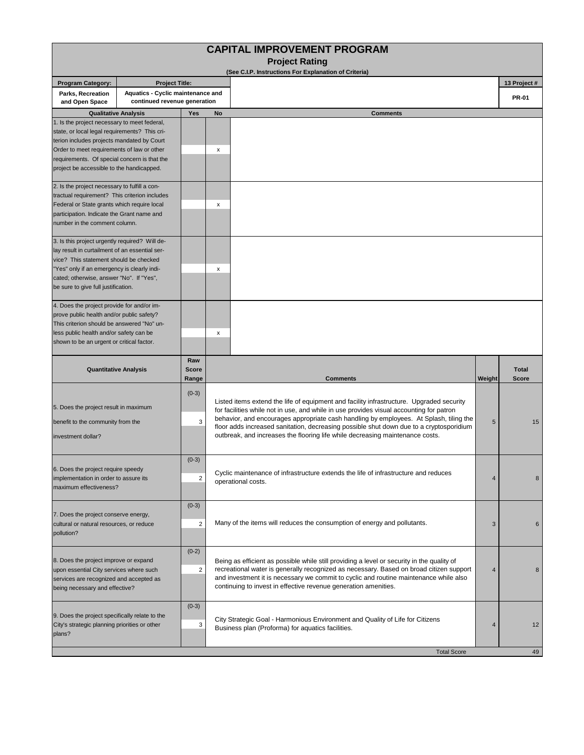|                                                                                                                                                                                                                                                                                        |                                                                   |                           |    | <b>CAPITAL IMPROVEMENT PROGRAM</b>                                                                                                                                                                                                                                                                                                                                                                                                                        |                |                              |  |
|----------------------------------------------------------------------------------------------------------------------------------------------------------------------------------------------------------------------------------------------------------------------------------------|-------------------------------------------------------------------|---------------------------|----|-----------------------------------------------------------------------------------------------------------------------------------------------------------------------------------------------------------------------------------------------------------------------------------------------------------------------------------------------------------------------------------------------------------------------------------------------------------|----------------|------------------------------|--|
|                                                                                                                                                                                                                                                                                        |                                                                   |                           |    | <b>Project Rating</b><br>(See C.I.P. Instructions For Explanation of Criteria)                                                                                                                                                                                                                                                                                                                                                                            |                |                              |  |
| <b>Program Category:</b>                                                                                                                                                                                                                                                               | <b>Project Title:</b>                                             |                           |    |                                                                                                                                                                                                                                                                                                                                                                                                                                                           |                | 13 Project #                 |  |
| Parks, Recreation<br>and Open Space                                                                                                                                                                                                                                                    | Aquatics - Cyclic maintenance and<br>continued revenue generation |                           |    |                                                                                                                                                                                                                                                                                                                                                                                                                                                           |                | <b>PR-01</b>                 |  |
| <b>Qualitative Analysis</b>                                                                                                                                                                                                                                                            |                                                                   | Yes                       | No | <b>Comments</b>                                                                                                                                                                                                                                                                                                                                                                                                                                           |                |                              |  |
| 1. Is the project necessary to meet federal,<br>state, or local legal requirements? This cri-<br>terion includes projects mandated by Court<br>Order to meet requirements of law or other<br>requirements. Of special concern is that the<br>project be accessible to the handicapped. |                                                                   |                           | x  |                                                                                                                                                                                                                                                                                                                                                                                                                                                           |                |                              |  |
| 2. Is the project necessary to fulfill a con-<br>tractual requirement? This criterion includes<br>Federal or State grants which require local<br>participation. Indicate the Grant name and<br>number in the comment column.                                                           |                                                                   |                           | x  |                                                                                                                                                                                                                                                                                                                                                                                                                                                           |                |                              |  |
| 3. Is this project urgently required? Will de-<br>lay result in curtailment of an essential ser-<br>vice? This statement should be checked<br>"Yes" only if an emergency is clearly indi-<br>cated; otherwise, answer "No". If "Yes",<br>be sure to give full justification.           |                                                                   |                           | x  |                                                                                                                                                                                                                                                                                                                                                                                                                                                           |                |                              |  |
| 4. Does the project provide for and/or im-<br>prove public health and/or public safety?<br>This criterion should be answered "No" un-<br>less public health and/or safety can be<br>shown to be an urgent or critical factor.                                                          |                                                                   |                           | x  |                                                                                                                                                                                                                                                                                                                                                                                                                                                           |                |                              |  |
| <b>Quantitative Analysis</b>                                                                                                                                                                                                                                                           |                                                                   | Raw<br>Score<br>Range     |    | <b>Comments</b>                                                                                                                                                                                                                                                                                                                                                                                                                                           | Weight         | <b>Total</b><br><b>Score</b> |  |
| $(0-3)$<br>5. Does the project result in maximum<br>benefit to the community from the<br>3<br>investment dollar?                                                                                                                                                                       |                                                                   |                           |    | Listed items extend the life of equipment and facility infrastructure. Upgraded security<br>for facilities while not in use, and while in use provides visual accounting for patron<br>behavior, and encourages appropriate cash handling by employees. At Splash, tiling the<br>floor adds increased sanitation, decreasing possible shut down due to a cryptosporidium<br>outbreak, and increases the flooring life while decreasing maintenance costs. | 5              | 15                           |  |
| 6. Does the project require speedy<br>implementation in order to assure its<br>maximum effectiveness?                                                                                                                                                                                  |                                                                   | $(0-3)$<br>2              |    | Cyclic maintenance of infrastructure extends the life of infrastructure and reduces<br>operational costs.                                                                                                                                                                                                                                                                                                                                                 |                |                              |  |
| 7. Does the project conserve energy,<br>cultural or natural resources, or reduce<br>pollution?                                                                                                                                                                                         |                                                                   | $(0-3)$<br>$\overline{2}$ |    | Many of the items will reduces the consumption of energy and pollutants.                                                                                                                                                                                                                                                                                                                                                                                  | $\mathbf{3}$   | 6                            |  |
| 8. Does the project improve or expand<br>upon essential City services where such<br>services are recognized and accepted as<br>being necessary and effective?                                                                                                                          |                                                                   | $(0-2)$<br>$\overline{2}$ |    | Being as efficient as possible while still providing a level or security in the quality of<br>recreational water is generally recognized as necessary. Based on broad citizen support<br>and investment it is necessary we commit to cyclic and routine maintenance while also<br>continuing to invest in effective revenue generation amenities.                                                                                                         | $\overline{4}$ | 8                            |  |
| 9. Does the project specifically relate to the<br>City's strategic planning priorities or other<br>plans?                                                                                                                                                                              |                                                                   | $(0-3)$<br>3              |    | City Strategic Goal - Harmonious Environment and Quality of Life for Citizens<br>Business plan (Proforma) for aquatics facilities.                                                                                                                                                                                                                                                                                                                        | 4              | 12                           |  |
|                                                                                                                                                                                                                                                                                        |                                                                   |                           |    | <b>Total Score</b>                                                                                                                                                                                                                                                                                                                                                                                                                                        |                | 49                           |  |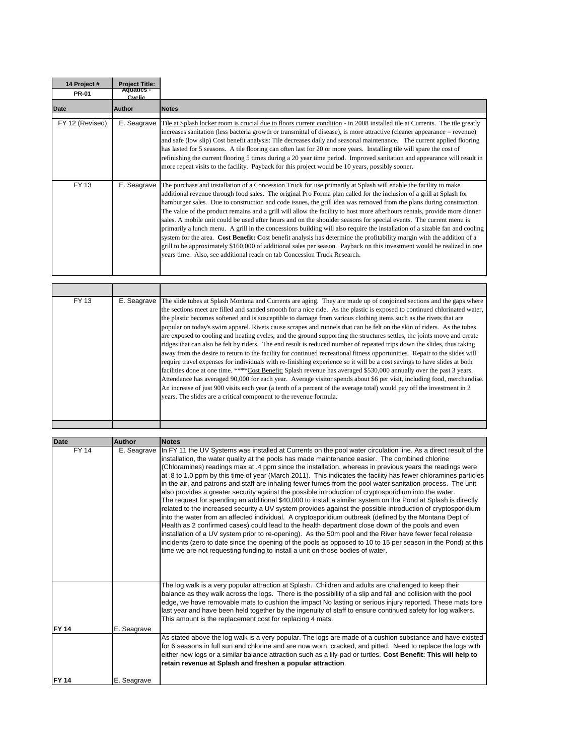| 14 Project #    | <b>Project Title:</b><br><b>Aquatics -</b> |                                                                                                                                                                                                                                                                                                                                                                                                                                                                                                                                                                                                                                                                                                                                                                                                                                                                                                                                                                                                                                                                                     |
|-----------------|--------------------------------------------|-------------------------------------------------------------------------------------------------------------------------------------------------------------------------------------------------------------------------------------------------------------------------------------------------------------------------------------------------------------------------------------------------------------------------------------------------------------------------------------------------------------------------------------------------------------------------------------------------------------------------------------------------------------------------------------------------------------------------------------------------------------------------------------------------------------------------------------------------------------------------------------------------------------------------------------------------------------------------------------------------------------------------------------------------------------------------------------|
| <b>PR-01</b>    | Cyclic                                     |                                                                                                                                                                                                                                                                                                                                                                                                                                                                                                                                                                                                                                                                                                                                                                                                                                                                                                                                                                                                                                                                                     |
| Date            | Author                                     | <b>Notes</b>                                                                                                                                                                                                                                                                                                                                                                                                                                                                                                                                                                                                                                                                                                                                                                                                                                                                                                                                                                                                                                                                        |
| FY 12 (Revised) | E. Seagrave                                | Tile at Splash locker room is crucial due to floors current condition - in 2008 installed tile at Currents. The tile greatly<br>increases sanitation (less bacteria growth or transmittal of disease), is more attractive (cleaner appearance = revenue)<br>and safe (low slip) Cost benefit analysis: Tile decreases daily and seasonal maintenance. The current applied flooring<br>has lasted for 5 seasons. A tile flooring can often last for 20 or more years. Installing tile will spare the cost of<br>refinishing the current flooring 5 times during a 20 year time period. Improved sanitation and appearance will result in<br>more repeat visits to the facility. Payback for this project would be 10 years, possibly sooner.                                                                                                                                                                                                                                                                                                                                         |
| FY 13           | E. Seagrave                                | The purchase and installation of a Concession Truck for use primarily at Splash will enable the facility to make<br>additional revenue through food sales. The original Pro Forma plan called for the inclusion of a grill at Splash for<br>hamburger sales. Due to construction and code issues, the grill idea was removed from the plans during construction.<br>The value of the product remains and a grill will allow the facility to host more afterhours rentals, provide more dinner<br>sales. A mobile unit could be used after hours and on the shoulder seasons for special events. The current menu is<br>primarily a lunch menu. A grill in the concessions building will also require the installation of a sizable fan and cooling<br>system for the area. Cost Benefit: Cost benefit analysis has determine the profitability margin with the addition of a<br>grill to be approximately \$160,000 of additional sales per season. Payback on this investment would be realized in one<br>years time. Also, see additional reach on tab Concession Truck Research. |

| FY 13 | E. Seagrave | The slide tubes at Splash Montana and Currents are aging. They are made up of conjoined sections and the gaps where<br>the sections meet are filled and sanded smooth for a nice ride. As the plastic is exposed to continued chlorinated water,<br>the plastic becomes softened and is susceptible to damage from various clothing items such as the rivets that are<br>popular on today's swim apparel. Rivets cause scrapes and runnels that can be felt on the skin of riders. As the tubes<br>are exposed to cooling and heating cycles, and the ground supporting the structures settles, the joints move and create<br>ridges that can also be felt by riders. The end result is reduced number of repeated trips down the slides, thus taking<br>away from the desire to return to the facility for continued recreational fitness opportunities. Repair to the slides will<br>require travel expenses for individuals with re-finishing experience so it will be a cost savings to have slides at both<br>facilities done at one time. ****Cost Benefit: Splash revenue has averaged \$530,000 annually over the past 3 years.<br>Attendance has averaged 90,000 for each year. Average visitor spends about \$6 per visit, including food, merchandise.<br>An increase of just 900 visits each year (a tenth of a percent of the average total) would pay off the investment in 2<br>years. The slides are a critical component to the revenue formula. |
|-------|-------------|-------------------------------------------------------------------------------------------------------------------------------------------------------------------------------------------------------------------------------------------------------------------------------------------------------------------------------------------------------------------------------------------------------------------------------------------------------------------------------------------------------------------------------------------------------------------------------------------------------------------------------------------------------------------------------------------------------------------------------------------------------------------------------------------------------------------------------------------------------------------------------------------------------------------------------------------------------------------------------------------------------------------------------------------------------------------------------------------------------------------------------------------------------------------------------------------------------------------------------------------------------------------------------------------------------------------------------------------------------------------------------------------------------------------------------------------------------------------|
|       |             |                                                                                                                                                                                                                                                                                                                                                                                                                                                                                                                                                                                                                                                                                                                                                                                                                                                                                                                                                                                                                                                                                                                                                                                                                                                                                                                                                                                                                                                                   |

| <b>Date</b>  | <b>Author</b> | <b>Notes</b>                                                                                                                                                                                                             |
|--------------|---------------|--------------------------------------------------------------------------------------------------------------------------------------------------------------------------------------------------------------------------|
| <b>FY 14</b> | E. Seagrave   | In FY 11 the UV Systems was installed at Currents on the pool water circulation line. As a direct result of the                                                                                                          |
|              |               | installation, the water quality at the pools has made maintenance easier. The combined chlorine                                                                                                                          |
|              |               | (Chloramines) readings max at .4 ppm since the installation, whereas in previous years the readings were                                                                                                                 |
|              |               | at .8 to 1.0 ppm by this time of year (March 2011). This indicates the facility has fewer chloramines particles                                                                                                          |
|              |               | in the air, and patrons and staff are inhaling fewer fumes from the pool water sanitation process. The unit                                                                                                              |
|              |               | also provides a greater security against the possible introduction of cryptosporidium into the water.<br>The request for spending an additional \$40,000 to install a similar system on the Pond at Splash is directly   |
|              |               | related to the increased security a UV system provides against the possible introduction of cryptosporidium                                                                                                              |
|              |               | into the water from an affected individual. A cryptosporidium outbreak (defined by the Montana Dept of                                                                                                                   |
|              |               | Health as 2 confirmed cases) could lead to the health department close down of the pools and even                                                                                                                        |
|              |               | installation of a UV system prior to re-opening). As the 50m pool and the River have fewer fecal release                                                                                                                 |
|              |               | incidents (zero to date since the opening of the pools as opposed to 10 to 15 per season in the Pond) at this                                                                                                            |
|              |               | time we are not requesting funding to install a unit on those bodies of water.                                                                                                                                           |
|              |               |                                                                                                                                                                                                                          |
|              |               |                                                                                                                                                                                                                          |
|              |               |                                                                                                                                                                                                                          |
|              |               | The log walk is a very popular attraction at Splash. Children and adults are challenged to keep their                                                                                                                    |
|              |               | balance as they walk across the logs. There is the possibility of a slip and fall and collision with the pool                                                                                                            |
|              |               | edge, we have removable mats to cushion the impact No lasting or serious injury reported. These mats tore<br>last year and have been held together by the ingenuity of staff to ensure continued safety for log walkers. |
|              |               | This amount is the replacement cost for replacing 4 mats.                                                                                                                                                                |
| <b>FY 14</b> | E. Seagrave   |                                                                                                                                                                                                                          |
|              |               | As stated above the log walk is a very popular. The logs are made of a cushion substance and have existed                                                                                                                |
|              |               | for 6 seasons in full sun and chlorine and are now worn, cracked, and pitted. Need to replace the logs with                                                                                                              |
|              |               | either new logs or a similar balance attraction such as a lily-pad or turtles. Cost Benefit: This will help to                                                                                                           |
|              |               | retain revenue at Splash and freshen a popular attraction                                                                                                                                                                |
| <b>FY 14</b> | E. Seagrave   |                                                                                                                                                                                                                          |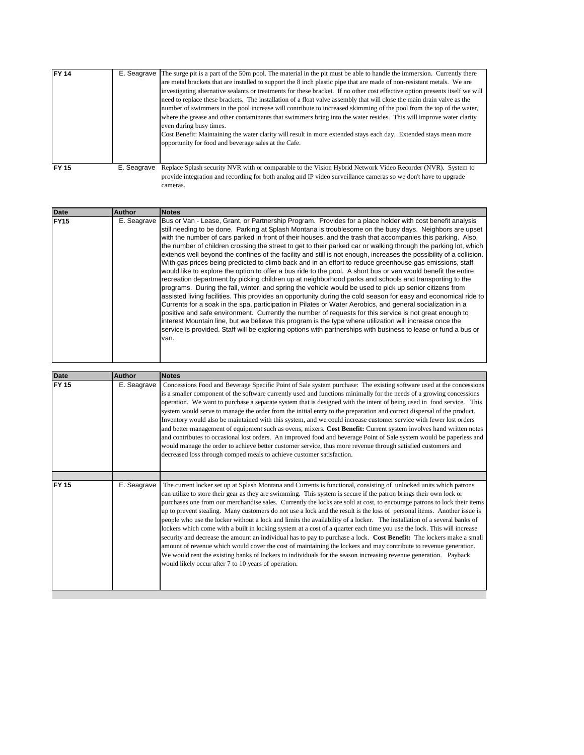| FY <sub>14</sub> | E. Seagrave | The surge pit is a part of the 50m pool. The material in the pit must be able to handle the immersion. Currently there                                                                                                         |
|------------------|-------------|--------------------------------------------------------------------------------------------------------------------------------------------------------------------------------------------------------------------------------|
|                  |             | are metal brackets that are installed to support the 8 inch plastic pipe that are made of non-resistant metals. We are                                                                                                         |
|                  |             | investigating alternative sealants or treatments for these bracket. If no other cost effective option presents itself we will                                                                                                  |
|                  |             | need to replace these brackets. The installation of a float valve assembly that will close the main drain valve as the                                                                                                         |
|                  |             | number of swimmers in the pool increase will contribute to increased skimming of the pool from the top of the water,                                                                                                           |
|                  |             | where the grease and other contaminants that swimmers bring into the water resides. This will improve water clarity                                                                                                            |
|                  |             | even during busy times.                                                                                                                                                                                                        |
|                  |             | Cost Benefit: Maintaining the water clarity will result in more extended stays each day. Extended stays mean more                                                                                                              |
|                  |             | opportunity for food and beverage sales at the Cafe.                                                                                                                                                                           |
|                  |             |                                                                                                                                                                                                                                |
|                  |             |                                                                                                                                                                                                                                |
| <b>FY 15</b>     | E. Seagrave | Replace Splash security NVR with or comparable to the Vision Hybrid Network Video Recorder (NVR). System to<br>provide integration and recording for both analog and IP video surveillance cameras so we don't have to upgrade |

cameras.

| <b>Date</b>  | <b>Author</b> | <b>Notes</b>                                                                                                                                                                                                                                                                                                                                                                                                                                                                                                                                                                                                                                                                                                                                                                                                                                                                                                                                                                                                                                                                                                                                                                                                                                                                                                                                                                                                                                                                                                                                                                                                       |
|--------------|---------------|--------------------------------------------------------------------------------------------------------------------------------------------------------------------------------------------------------------------------------------------------------------------------------------------------------------------------------------------------------------------------------------------------------------------------------------------------------------------------------------------------------------------------------------------------------------------------------------------------------------------------------------------------------------------------------------------------------------------------------------------------------------------------------------------------------------------------------------------------------------------------------------------------------------------------------------------------------------------------------------------------------------------------------------------------------------------------------------------------------------------------------------------------------------------------------------------------------------------------------------------------------------------------------------------------------------------------------------------------------------------------------------------------------------------------------------------------------------------------------------------------------------------------------------------------------------------------------------------------------------------|
| <b>FY15</b>  | E. Seagrave   | Bus or Van - Lease, Grant, or Partnership Program. Provides for a place holder with cost benefit analysis<br>still needing to be done. Parking at Splash Montana is troublesome on the busy days. Neighbors are upset<br>with the number of cars parked in front of their houses, and the trash that accompanies this parking. Also,<br>the number of children crossing the street to get to their parked car or walking through the parking lot, which<br>extends well beyond the confines of the facility and still is not enough, increases the possibility of a collision.<br>With gas prices being predicted to climb back and in an effort to reduce greenhouse gas emissions, staff<br>would like to explore the option to offer a bus ride to the pool. A short bus or van would benefit the entire<br>recreation department by picking children up at neighborhood parks and schools and transporting to the<br>programs. During the fall, winter, and spring the vehicle would be used to pick up senior citizens from<br>assisted living facilities. This provides an opportunity during the cold season for easy and economical ride to<br>Currents for a soak in the spa, participation in Pilates or Water Aerobics, and general socialization in a<br>positive and safe environment. Currently the number of requests for this service is not great enough to<br>interest Mountain line, but we believe this program is the type where utilization will increase once the<br>service is provided. Staff will be exploring options with partnerships with business to lease or fund a bus or<br>van. |
|              |               |                                                                                                                                                                                                                                                                                                                                                                                                                                                                                                                                                                                                                                                                                                                                                                                                                                                                                                                                                                                                                                                                                                                                                                                                                                                                                                                                                                                                                                                                                                                                                                                                                    |
| <b>Date</b>  | <b>Author</b> | <b>Notes</b>                                                                                                                                                                                                                                                                                                                                                                                                                                                                                                                                                                                                                                                                                                                                                                                                                                                                                                                                                                                                                                                                                                                                                                                                                                                                                                                                                                                                                                                                                                                                                                                                       |
| <b>FY 15</b> | E. Seagrave   | Concessions Food and Beverage Specific Point of Sale system purchase: The existing software used at the concessions<br>is a smaller component of the software currently used and functions minimally for the needs of a growing concessions<br>operation. We want to purchase a separate system that is designed with the intent of being used in food service. This<br>system would serve to manage the order from the initial entry to the preparation and correct dispersal of the product.<br>Inventory would also be maintained with this system, and we could increase customer service with fewer lost orders<br>and better management of equipment such as ovens, mixers. Cost Benefit: Current system involves hand written notes<br>and contributes to occasional lost orders. An improved food and beverage Point of Sale system would be paperless and<br>would manage the order to achieve better customer service, thus more revenue through satisfied customers and<br>decreased loss through comped meals to achieve customer satisfaction.                                                                                                                                                                                                                                                                                                                                                                                                                                                                                                                                                        |
|              |               |                                                                                                                                                                                                                                                                                                                                                                                                                                                                                                                                                                                                                                                                                                                                                                                                                                                                                                                                                                                                                                                                                                                                                                                                                                                                                                                                                                                                                                                                                                                                                                                                                    |
| <b>FY 15</b> | E. Seagrave   | The current locker set up at Splash Montana and Currents is functional, consisting of unlocked units which patrons<br>can utilize to store their gear as they are swimming. This system is secure if the patron brings their own lock or<br>purchases one from our merchandise sales. Currently the locks are sold at cost, to encourage patrons to lock their items<br>up to prevent stealing. Many customers do not use a lock and the result is the loss of personal items. Another issue is<br>people who use the locker without a lock and limits the availability of a locker. The installation of a several banks of                                                                                                                                                                                                                                                                                                                                                                                                                                                                                                                                                                                                                                                                                                                                                                                                                                                                                                                                                                                        |

would likely occur after 7 to 10 years of operation.

lockers which come with a built in locking system at a cost of a quarter each time you use the lock. This will increase security and decrease the amount an individual has to pay to purchase a lock. **Cost Benefit:** The lockers make a small amount of revenue which would cover the cost of maintaining the lockers and may contribute to revenue generation. We would rent the existing banks of lockers to individuals for the season increasing revenue generation. Payback